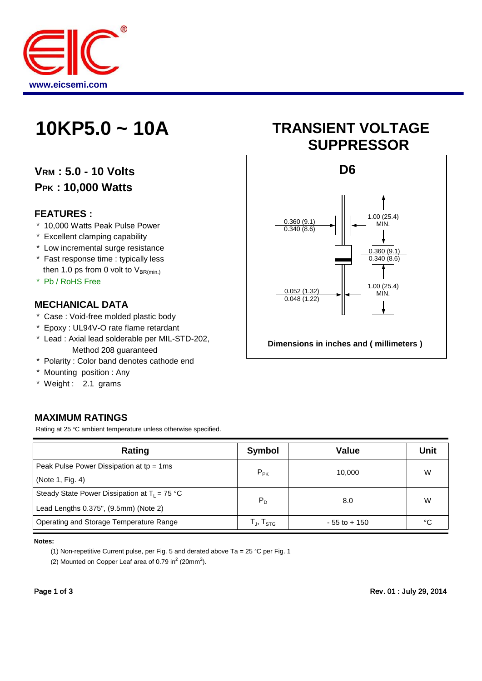

# **VRM : 5.0 - 10 Volts PPK : 10,000 Watts**

#### **FEATURES :**

- \* 10,000 Watts Peak Pulse Power
- \* Excellent clamping capability
- \* Low incremental surge resistance
- \* Fast response time : typically less then 1.0 ps from 0 volt to  $V_{BR(min)}$
- \* Pb / RoHS Free

#### **MECHANICAL DATA**

- \* Case : Void-free molded plastic body
- \* Epoxy : UL94V-O rate flame retardant
- \* Lead : Axial lead solderable per MIL-STD-202, Method 208 guaranteed
- \* Polarity : Color band denotes cathode end
- \* Mounting position : Any
- \* Weight : 2.1 grams

### **MAXIMUM RATINGS**

Rating at 25 °C ambient temperature unless otherwise specified.

| Rating                                          | Value<br>Symbol     |                 | <b>Unit</b> |
|-------------------------------------------------|---------------------|-----------------|-------------|
| Peak Pulse Power Dissipation at $tp = 1ms$      | $P_{PK}$            | 10.000          | W           |
| (Note 1, Fig. 4)                                |                     |                 |             |
| Steady State Power Dissipation at $T_1 = 75$ °C | $P_D$               |                 | W           |
| Lead Lengths 0.375", (9.5mm) (Note 2)           |                     | 8.0             |             |
| Operating and Storage Temperature Range         | $T_{J}$ , $T_{STG}$ | $-55$ to $+150$ | °C          |

#### **Notes:**

(1) Non-repetitive Current pulse, per Fig. 5 and derated above Ta = 25 °C per Fig. 1

(2) Mounted on Copper Leaf area of 0.79 in $^2$  (20mm $^2$ ).

# **10KP5.0 ~ 10A TRANSIENT VOLTAGE SUPPRESSOR**

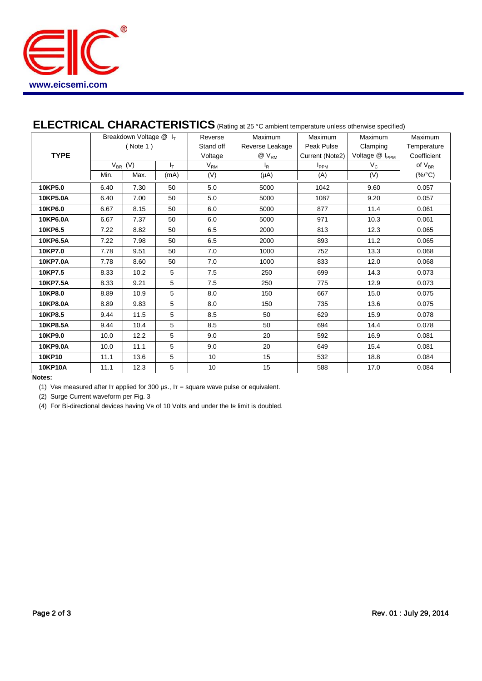

# **ELECTRICAL CHARACTERISTICS** (Rating at 25 °C ambient temperature unless otherwise specified)

|                | Breakdown Voltage @ I <sub>T</sub> |       |                   | Reverse   | Maximum         | Maximum         | Maximum                       | Maximum     |
|----------------|------------------------------------|-------|-------------------|-----------|-----------------|-----------------|-------------------------------|-------------|
|                | ( Note 1)                          |       |                   | Stand off | Reverse Leakage | Peak Pulse      | Clamping                      | Temperature |
| <b>TYPE</b>    |                                    |       |                   | Voltage   | $@V_{RM}$       | Current (Note2) | Voltage @ I <sub>PPM</sub>    | Coefficient |
| $V_{BR}$ (V)   |                                    | $I_T$ | $V_{\mathsf{RM}}$ | $I_R$     | $I_{PPM}$       | $V_C$           | of $\mathsf{V}_{\mathsf{BR}}$ |             |
|                | Min.                               | Max.  | (mA)              | (V)       | $(\mu A)$       | (A)             | (V)                           | $(\%$ /°C)  |
| 10KP5.0        | 6.40                               | 7.30  | 50                | 5.0       | 5000            | 1042            | 9.60                          | 0.057       |
| 10KP5.0A       | 6.40                               | 7.00  | 50                | 5.0       | 5000            | 1087            | 9.20                          | 0.057       |
| 10KP6.0        | 6.67                               | 8.15  | 50                | 6.0       | 5000            | 877             | 11.4                          | 0.061       |
| 10KP6.0A       | 6.67                               | 7.37  | 50                | 6.0       | 5000            | 971             | 10.3                          | 0.061       |
| 10KP6.5        | 7.22                               | 8.82  | 50                | 6.5       | 2000            | 813             | 12.3                          | 0.065       |
| 10KP6.5A       | 7.22                               | 7.98  | 50                | 6.5       | 2000            | 893             | 11.2                          | 0.065       |
| 10KP7.0        | 7.78                               | 9.51  | 50                | 7.0       | 1000            | 752             | 13.3                          | 0.068       |
| 10KP7.0A       | 7.78                               | 8.60  | 50                | 7.0       | 1000            | 833             | 12.0                          | 0.068       |
| 10KP7.5        | 8.33                               | 10.2  | 5                 | 7.5       | 250             | 699             | 14.3                          | 0.073       |
| 10KP7.5A       | 8.33                               | 9.21  | 5                 | 7.5       | 250             | 775             | 12.9                          | 0.073       |
| 10KP8.0        | 8.89                               | 10.9  | 5                 | 8.0       | 150             | 667             | 15.0                          | 0.075       |
| 10KP8.0A       | 8.89                               | 9.83  | 5                 | 8.0       | 150             | 735             | 13.6                          | 0.075       |
| 10KP8.5        | 9.44                               | 11.5  | 5                 | 8.5       | 50              | 629             | 15.9                          | 0.078       |
| 10KP8.5A       | 9.44                               | 10.4  | 5                 | 8.5       | 50              | 694             | 14.4                          | 0.078       |
| 10KP9.0        | 10.0                               | 12.2  | 5                 | 9.0       | 20              | 592             | 16.9                          | 0.081       |
| 10KP9.0A       | 10.0                               | 11.1  | 5                 | 9.0       | 20              | 649             | 15.4                          | 0.081       |
| 10KP10         | 11.1                               | 13.6  | 5                 | 10        | 15              | 532             | 18.8                          | 0.084       |
| <b>10KP10A</b> | 11.1                               | 12.3  | 5                 | 10        | 15              | 588             | 17.0                          | 0.084       |

#### **Notes:**

(1) VBR measured after IT applied for 300  $\mu$ s., IT = square wave pulse or equivalent.

(2) Surge Current waveform per Fig. 3

(4) For Bi-directional devices having VR of 10 Volts and under the IR limit is doubled.